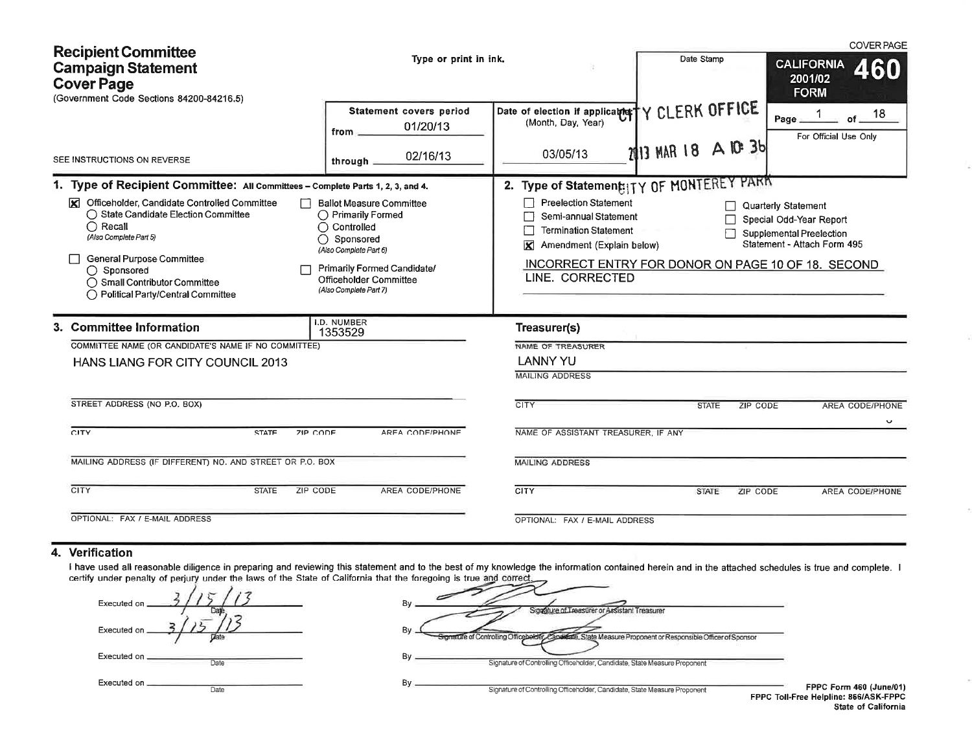| <b>Recipient Committee</b><br><b>Campaign Statement</b><br><b>Cover Page</b><br>(Government Code Sections 84200-84216.5)                                                                                                                                                                                                                       | Type or print in ink.                                                                                                                                                                                             |                                                                                                                                                                                          | Date Stamp                            |                      | <b>COVER PAGE</b><br><b>CALIFORNIA</b><br>460<br>2001/02<br><b>FORM</b>                                                                                                |  |
|------------------------------------------------------------------------------------------------------------------------------------------------------------------------------------------------------------------------------------------------------------------------------------------------------------------------------------------------|-------------------------------------------------------------------------------------------------------------------------------------------------------------------------------------------------------------------|------------------------------------------------------------------------------------------------------------------------------------------------------------------------------------------|---------------------------------------|----------------------|------------------------------------------------------------------------------------------------------------------------------------------------------------------------|--|
| SEE INSTRUCTIONS ON REVERSE                                                                                                                                                                                                                                                                                                                    | Statement covers period<br>01/20/13<br>from _<br>02/16/13<br>through $\equiv$                                                                                                                                     | Date of election if applicable;"<br>(Month, Day, Year)<br>03/05/13                                                                                                                       | Y CLERK OFFICE<br>2013 MAR 18 A 10 36 |                      | 18<br>of.<br>Page _<br>For Official Use Only                                                                                                                           |  |
| 1. Type of Recipient Committee: All Committees - Complete Parts 1, 2, 3, and 4.<br>Officeholder, Candidate Controlled Committee<br>⊠<br>◯ State Candidate Election Committee<br>$\bigcap$ Recall<br>(Also Complete Part 5)<br>General Purpose Committee<br>◯ Sponsored<br>◯ Small Contributor Committee<br>◯ Political Party/Central Committee | <b>Ballot Measure Committee</b><br>◯ Primarily Formed<br>$\bigcap$ Controlled<br>$\bigcap$ Sponsored<br>(Also Complete Part 6)<br>Primarily Formed Candidate/<br>Officeholder Committee<br>(Also Complete Part 7) | 2. Type of Statement: ITY OF MONTEREY PARK<br><b>Preelection Statement</b><br>Semi-annual Statement<br><b>Termination Statement</b><br>K<br>Amendment (Explain below)<br>LINE. CORRECTED |                                       |                      | <b>Quarterly Statement</b><br>Special Odd-Year Report<br>Supplemental Preelection<br>Statement - Attach Form 495<br>INCORRECT ENTRY FOR DONOR ON PAGE 10 OF 18. SECOND |  |
| 3. Committee Information<br>COMMITTEE NAME (OR CANDIDATE'S NAME IF NO COMMITTEE)<br>HANS LIANG FOR CITY COUNCIL 2013<br>STREET ADDRESS (NO P.O. BOX)<br>CITY<br><b>STATE</b><br><b>ZIP CODE</b><br>MAILING ADDRESS (IF DIFFERENT) NO. AND STREET OR P.O. BOX<br>CITY<br>ZIP CODE<br><b>STATE</b>                                               | I.D. NUMBER<br>1353529<br>AREA CODE/PHONE<br>AREA CODE/PHONE                                                                                                                                                      | Treasurer(s)<br>NAME OF TREASURER<br><b>LANNY YU</b><br><b>MAILING ADDRESS</b><br><b>CITY</b><br>NAME OF ASSISTANT TREASURER. IF ANY<br><b>MAILING ADDRESS</b><br>CITY                   | <b>STATE</b><br><b>STATE</b>          | ZIP CODE<br>ZIP CODE | <b>AREA CODE/PHONE</b><br>$\checkmark$<br>AREA CODE/PHONE                                                                                                              |  |
| OPTIONAL: FAX / E-MAIL ADDRESS                                                                                                                                                                                                                                                                                                                 |                                                                                                                                                                                                                   | OPTIONAL: FAX / E-MAIL ADDRESS                                                                                                                                                           |                                       |                      |                                                                                                                                                                        |  |

## 4. Verification

I have used all reasonable diligence in preparing and reviewing this statement and to the best of my knowledge the information contained herein and in the attached schedules is true and complete. I certify under penalty of

| Executed on _               |  |
|-----------------------------|--|
| Executed on                 |  |
| Executed on _______<br>Date |  |
| Executed on<br>Date         |  |

|    | re ruregumy is true and correct.                                                                            |
|----|-------------------------------------------------------------------------------------------------------------|
| Bν | Singature of Treastirer or Assistant Treasurer                                                              |
| By | Signature of Controlling Officebelder, Capaleate, State Measure Proponent or Responsible Officer of Sponsor |
| Bν | Signature of Controlling Officeholder, Candidate, State Measure Proponent                                   |
| Bv | Signature of Controlling Officeholder, Candidate, State Measure Proponent                                   |

FPPC Form 460 (June/01)<br>FPPC Toll-Free Helpline: 866/ASK-FPPC State of California